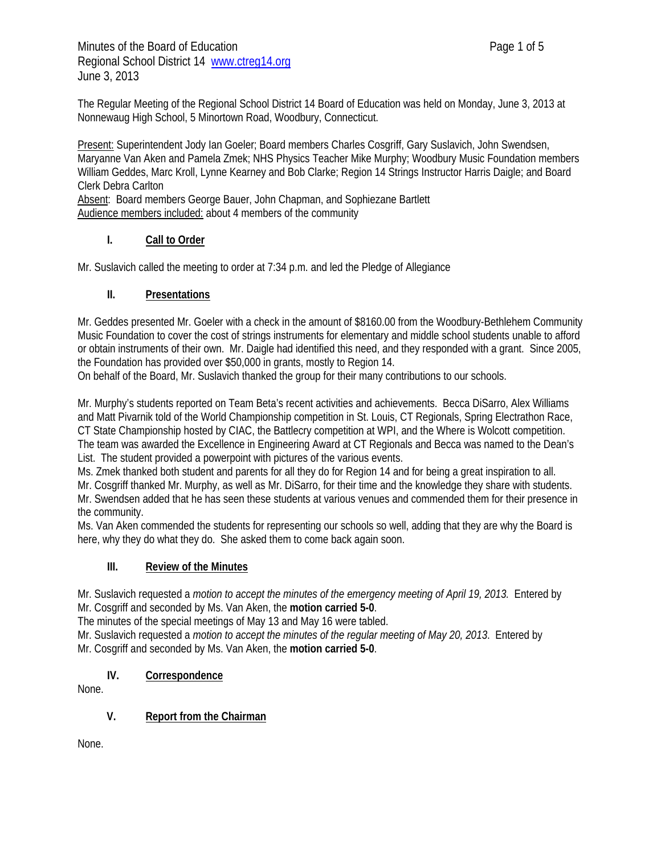The Regular Meeting of the Regional School District 14 Board of Education was held on Monday, June 3, 2013 at Nonnewaug High School, 5 Minortown Road, Woodbury, Connecticut.

Present: Superintendent Jody Ian Goeler; Board members Charles Cosgriff, Gary Suslavich, John Swendsen, Maryanne Van Aken and Pamela Zmek; NHS Physics Teacher Mike Murphy; Woodbury Music Foundation members William Geddes, Marc Kroll, Lynne Kearney and Bob Clarke; Region 14 Strings Instructor Harris Daigle; and Board Clerk Debra Carlton Absent: Board members George Bauer, John Chapman, and Sophiezane Bartlett

Audience members included: about 4 members of the community

# **I. Call to Order**

Mr. Suslavich called the meeting to order at 7:34 p.m. and led the Pledge of Allegiance

### **II. Presentations**

Mr. Geddes presented Mr. Goeler with a check in the amount of \$8160.00 from the Woodbury-Bethlehem Community Music Foundation to cover the cost of strings instruments for elementary and middle school students unable to afford or obtain instruments of their own. Mr. Daigle had identified this need, and they responded with a grant. Since 2005, the Foundation has provided over \$50,000 in grants, mostly to Region 14.

On behalf of the Board, Mr. Suslavich thanked the group for their many contributions to our schools.

Mr. Murphy's students reported on Team Beta's recent activities and achievements. Becca DiSarro, Alex Williams and Matt Pivarnik told of the World Championship competition in St. Louis, CT Regionals, Spring Electrathon Race, CT State Championship hosted by CIAC, the Battlecry competition at WPI, and the Where is Wolcott competition. The team was awarded the Excellence in Engineering Award at CT Regionals and Becca was named to the Dean's List. The student provided a powerpoint with pictures of the various events.

Ms. Zmek thanked both student and parents for all they do for Region 14 and for being a great inspiration to all.

Mr. Cosgriff thanked Mr. Murphy, as well as Mr. DiSarro, for their time and the knowledge they share with students. Mr. Swendsen added that he has seen these students at various venues and commended them for their presence in the community.

Ms. Van Aken commended the students for representing our schools so well, adding that they are why the Board is here, why they do what they do. She asked them to come back again soon.

### **III. Review of the Minutes**

Mr. Suslavich requested a *motion to accept the minutes of the emergency meeting of April 19, 2013*. Entered by Mr. Cosgriff and seconded by Ms. Van Aken, the **motion carried 5-0**.

The minutes of the special meetings of May 13 and May 16 were tabled.

Mr. Suslavich requested a *motion to accept the minutes of the regular meeting of May 20, 2013*. Entered by Mr. Cosgriff and seconded by Ms. Van Aken, the **motion carried 5-0**.

# **IV. Correspondence**

None.

### **V. Report from the Chairman**

None.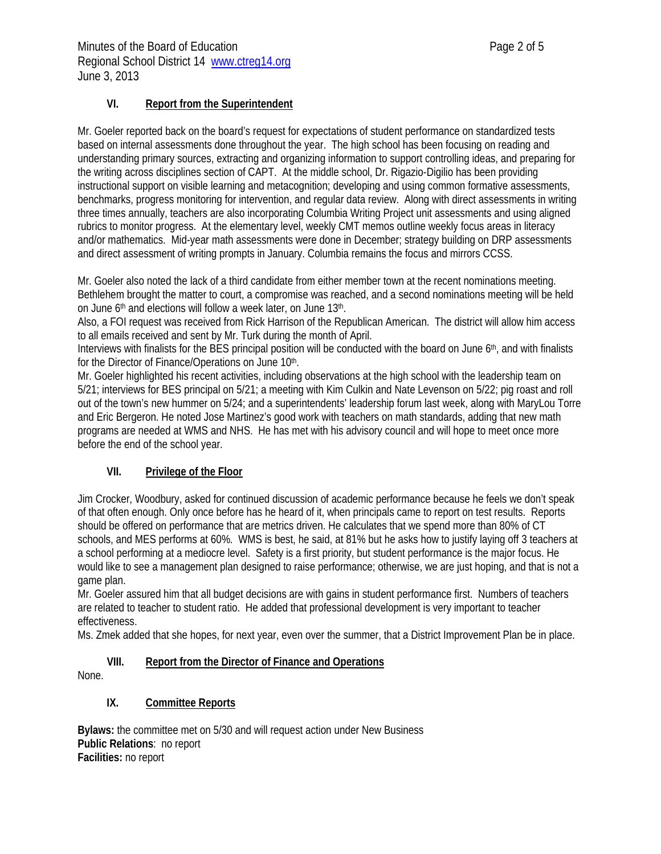### **VI. Report from the Superintendent**

Mr. Goeler reported back on the board's request for expectations of student performance on standardized tests based on internal assessments done throughout the year. The high school has been focusing on reading and understanding primary sources, extracting and organizing information to support controlling ideas, and preparing for the writing across disciplines section of CAPT. At the middle school, Dr. Rigazio-Digilio has been providing instructional support on visible learning and metacognition; developing and using common formative assessments, benchmarks, progress monitoring for intervention, and regular data review. Along with direct assessments in writing three times annually, teachers are also incorporating Columbia Writing Project unit assessments and using aligned rubrics to monitor progress. At the elementary level, weekly CMT memos outline weekly focus areas in literacy and/or mathematics. Mid-year math assessments were done in December; strategy building on DRP assessments and direct assessment of writing prompts in January. Columbia remains the focus and mirrors CCSS.

Mr. Goeler also noted the lack of a third candidate from either member town at the recent nominations meeting. Bethlehem brought the matter to court, a compromise was reached, and a second nominations meeting will be held on June 6<sup>th</sup> and elections will follow a week later, on June 13<sup>th</sup>.

Also, a FOI request was received from Rick Harrison of the Republican American. The district will allow him access to all emails received and sent by Mr. Turk during the month of April.

Interviews with finalists for the BES principal position will be conducted with the board on June 6th, and with finalists for the Director of Finance/Operations on June 10th.

Mr. Goeler highlighted his recent activities, including observations at the high school with the leadership team on 5/21; interviews for BES principal on 5/21; a meeting with Kim Culkin and Nate Levenson on 5/22; pig roast and roll out of the town's new hummer on 5/24; and a superintendents' leadership forum last week, along with MaryLou Torre and Eric Bergeron. He noted Jose Martinez's good work with teachers on math standards, adding that new math programs are needed at WMS and NHS. He has met with his advisory council and will hope to meet once more before the end of the school year.

# **VII. Privilege of the Floor**

Jim Crocker, Woodbury, asked for continued discussion of academic performance because he feels we don't speak of that often enough. Only once before has he heard of it, when principals came to report on test results. Reports should be offered on performance that are metrics driven. He calculates that we spend more than 80% of CT schools, and MES performs at 60%. WMS is best, he said, at 81% but he asks how to justify laying off 3 teachers at a school performing at a mediocre level. Safety is a first priority, but student performance is the major focus. He would like to see a management plan designed to raise performance; otherwise, we are just hoping, and that is not a game plan.

Mr. Goeler assured him that all budget decisions are with gains in student performance first. Numbers of teachers are related to teacher to student ratio. He added that professional development is very important to teacher effectiveness.

Ms. Zmek added that she hopes, for next year, even over the summer, that a District Improvement Plan be in place.

### **VIII. Report from the Director of Finance and Operations**

None.

# **IX. Committee Reports**

**Bylaws:** the committee met on 5/30 and will request action under New Business **Public Relations**: no report **Facilities:** no report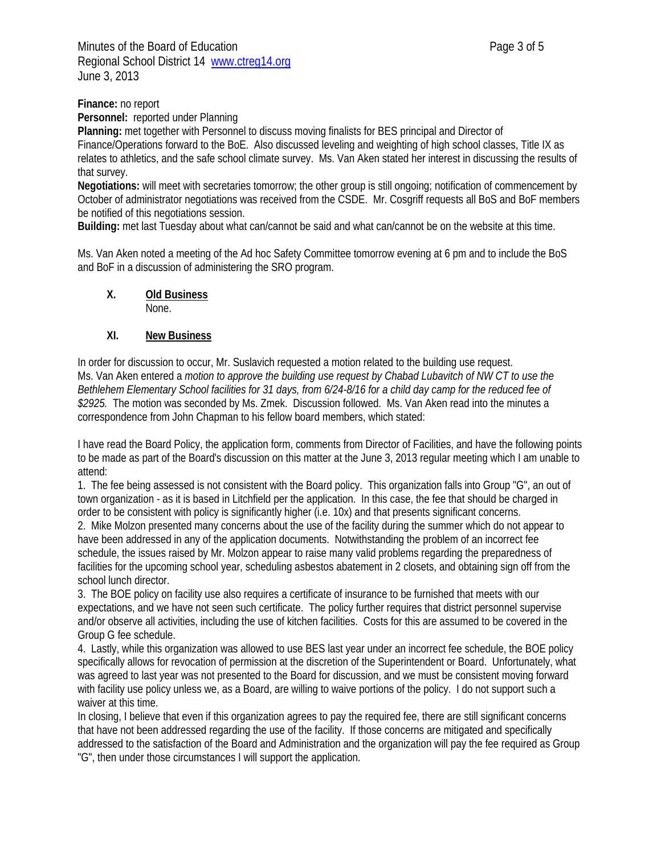Minutes of the Board of Education **Page 3 of 5** and  $P$ Regional School District 14 www.ctreg14.org June 3, 2013

**Finance:** no report

**Personnel:** reported under Planning

**Planning:** met together with Personnel to discuss moving finalists for BES principal and Director of Finance/Operations forward to the BoE. Also discussed leveling and weighting of high school classes, Title IX as relates to athletics, and the safe school climate survey. Ms. Van Aken stated her interest in discussing the results of that survey.

**Negotiations:** will meet with secretaries tomorrow; the other group is still ongoing; notification of commencement by October of administrator negotiations was received from the CSDE. Mr. Cosgriff requests all BoS and BoF members be notified of this negotiations session.

**Building:** met last Tuesday about what can/cannot be said and what can/cannot be on the website at this time.

Ms. Van Aken noted a meeting of the Ad hoc Safety Committee tomorrow evening at 6 pm and to include the BoS and BoF in a discussion of administering the SRO program.

**X. Old Business**

None.

#### **XI. New Business**

In order for discussion to occur, Mr. Suslavich requested a motion related to the building use request. Ms. Van Aken entered a *motion to approve the building use request by Chabad Lubavitch of NW CT to use the Bethlehem Elementary School facilities for 31 days, from 6/24-8/16 for a child day camp for the reduced fee of \$2925.* The motion was seconded by Ms. Zmek. Discussion followed. Ms. Van Aken read into the minutes a correspondence from John Chapman to his fellow board members, which stated:

I have read the Board Policy, the application form, comments from Director of Facilities, and have the following points to be made as part of the Board's discussion on this matter at the June 3, 2013 regular meeting which I am unable to attend:

1. The fee being assessed is not consistent with the Board policy. This organization falls into Group "G", an out of town organization - as it is based in Litchfield per the application. In this case, the fee that should be charged in order to be consistent with policy is significantly higher (i.e. 10x) and that presents significant concerns.

2. Mike Molzon presented many concerns about the use of the facility during the summer which do not appear to have been addressed in any of the application documents. Notwithstanding the problem of an incorrect fee schedule, the issues raised by Mr. Molzon appear to raise many valid problems regarding the preparedness of facilities for the upcoming school year, scheduling asbestos abatement in 2 closets, and obtaining sign off from the school lunch director.

3. The BOE policy on facility use also requires a certificate of insurance to be furnished that meets with our expectations, and we have not seen such certificate. The policy further requires that district personnel supervise and/or observe all activities, including the use of kitchen facilities. Costs for this are assumed to be covered in the Group G fee schedule.

4. Lastly, while this organization was allowed to use BES last year under an incorrect fee schedule, the BOE policy specifically allows for revocation of permission at the discretion of the Superintendent or Board. Unfortunately, what was agreed to last year was not presented to the Board for discussion, and we must be consistent moving forward with facility use policy unless we, as a Board, are willing to waive portions of the policy. I do not support such a waiver at this time.

In closing, I believe that even if this organization agrees to pay the required fee, there are still significant concerns that have not been addressed regarding the use of the facility. If those concerns are mitigated and specifically addressed to the satisfaction of the Board and Administration and the organization will pay the fee required as Group "G", then under those circumstances I will support the application.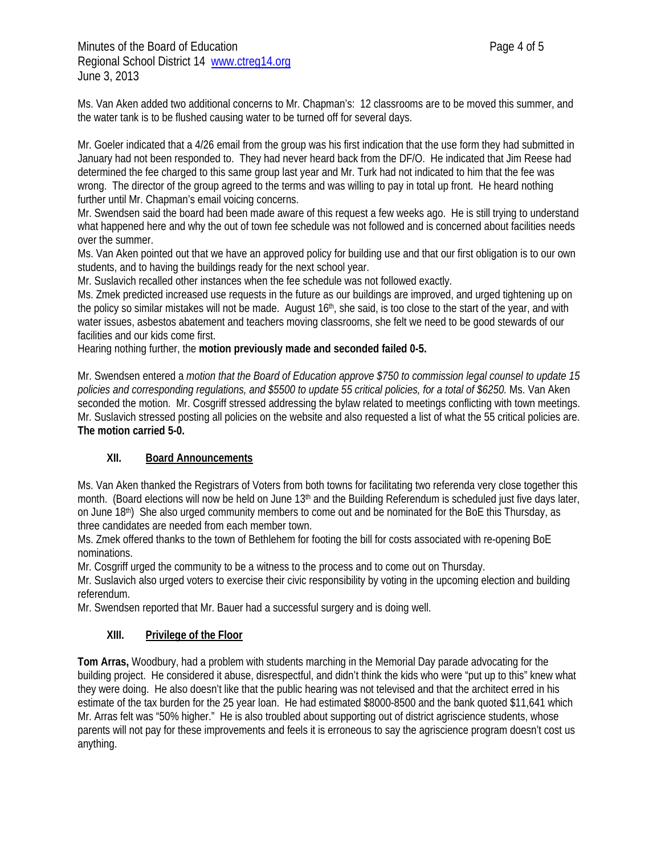Minutes of the Board of Education **Page 4 of 5** Regional School District 14 www.ctreg14.org June 3, 2013

Ms. Van Aken added two additional concerns to Mr. Chapman's: 12 classrooms are to be moved this summer, and the water tank is to be flushed causing water to be turned off for several days.

Mr. Goeler indicated that a 4/26 email from the group was his first indication that the use form they had submitted in January had not been responded to. They had never heard back from the DF/O. He indicated that Jim Reese had determined the fee charged to this same group last year and Mr. Turk had not indicated to him that the fee was wrong. The director of the group agreed to the terms and was willing to pay in total up front. He heard nothing further until Mr. Chapman's email voicing concerns.

Mr. Swendsen said the board had been made aware of this request a few weeks ago. He is still trying to understand what happened here and why the out of town fee schedule was not followed and is concerned about facilities needs over the summer.

Ms. Van Aken pointed out that we have an approved policy for building use and that our first obligation is to our own students, and to having the buildings ready for the next school year.

Mr. Suslavich recalled other instances when the fee schedule was not followed exactly.

Ms. Zmek predicted increased use requests in the future as our buildings are improved, and urged tightening up on the policy so similar mistakes will not be made. August 16<sup>th</sup>, she said, is too close to the start of the year, and with water issues, asbestos abatement and teachers moving classrooms, she felt we need to be good stewards of our facilities and our kids come first.

Hearing nothing further, the **motion previously made and seconded failed 0-5.** 

Mr. Swendsen entered a *motion that the Board of Education approve \$750 to commission legal counsel to update 15 policies and corresponding regulations, and \$5500 to update 55 critical policies, for a total of \$6250.* Ms. Van Aken seconded the motion. Mr. Cosgriff stressed addressing the bylaw related to meetings conflicting with town meetings. Mr. Suslavich stressed posting all policies on the website and also requested a list of what the 55 critical policies are. **The motion carried 5-0.** 

### **XII. Board Announcements**

Ms. Van Aken thanked the Registrars of Voters from both towns for facilitating two referenda very close together this month. (Board elections will now be held on June 13<sup>th</sup> and the Building Referendum is scheduled just five days later, on June 18<sup>th</sup>) She also urged community members to come out and be nominated for the BoE this Thursday, as three candidates are needed from each member town.

Ms. Zmek offered thanks to the town of Bethlehem for footing the bill for costs associated with re-opening BoE nominations.

Mr. Cosgriff urged the community to be a witness to the process and to come out on Thursday.

Mr. Suslavich also urged voters to exercise their civic responsibility by voting in the upcoming election and building referendum.

Mr. Swendsen reported that Mr. Bauer had a successful surgery and is doing well.

### **XIII. Privilege of the Floor**

**Tom Arras,** Woodbury, had a problem with students marching in the Memorial Day parade advocating for the building project. He considered it abuse, disrespectful, and didn't think the kids who were "put up to this" knew what they were doing. He also doesn't like that the public hearing was not televised and that the architect erred in his estimate of the tax burden for the 25 year loan. He had estimated \$8000-8500 and the bank quoted \$11,641 which Mr. Arras felt was "50% higher." He is also troubled about supporting out of district agriscience students, whose parents will not pay for these improvements and feels it is erroneous to say the agriscience program doesn't cost us anything.